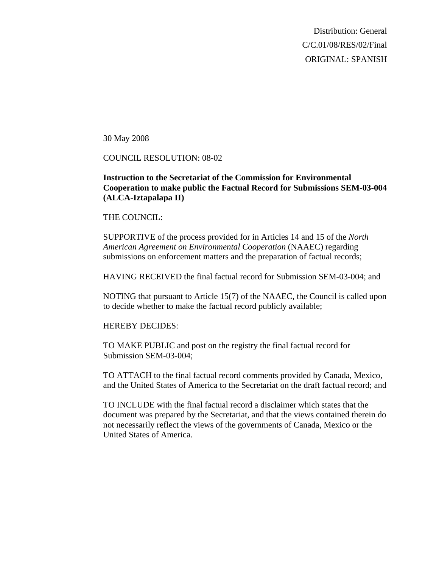Distribution: General C/C.01/08/RES/02/Final ORIGINAL: SPANISH

30 May 2008

#### COUNCIL RESOLUTION: 08-02

## **Instruction to the Secretariat of the Commission for Environmental Cooperation to make public the Factual Record for Submissions SEM-03-004 (ALCA-Iztapalapa II)**

#### THE COUNCIL:

SUPPORTIVE of the process provided for in Articles 14 and 15 of the *North American Agreement on Environmental Cooperation* (NAAEC) regarding submissions on enforcement matters and the preparation of factual records;

HAVING RECEIVED the final factual record for Submission SEM-03-004; and

NOTING that pursuant to Article 15(7) of the NAAEC, the Council is called upon to decide whether to make the factual record publicly available;

### HEREBY DECIDES:

TO MAKE PUBLIC and post on the registry the final factual record for Submission SEM-03-004;

TO ATTACH to the final factual record comments provided by Canada, Mexico, and the United States of America to the Secretariat on the draft factual record; and

TO INCLUDE with the final factual record a disclaimer which states that the document was prepared by the Secretariat, and that the views contained therein do not necessarily reflect the views of the governments of Canada, Mexico or the United States of America.